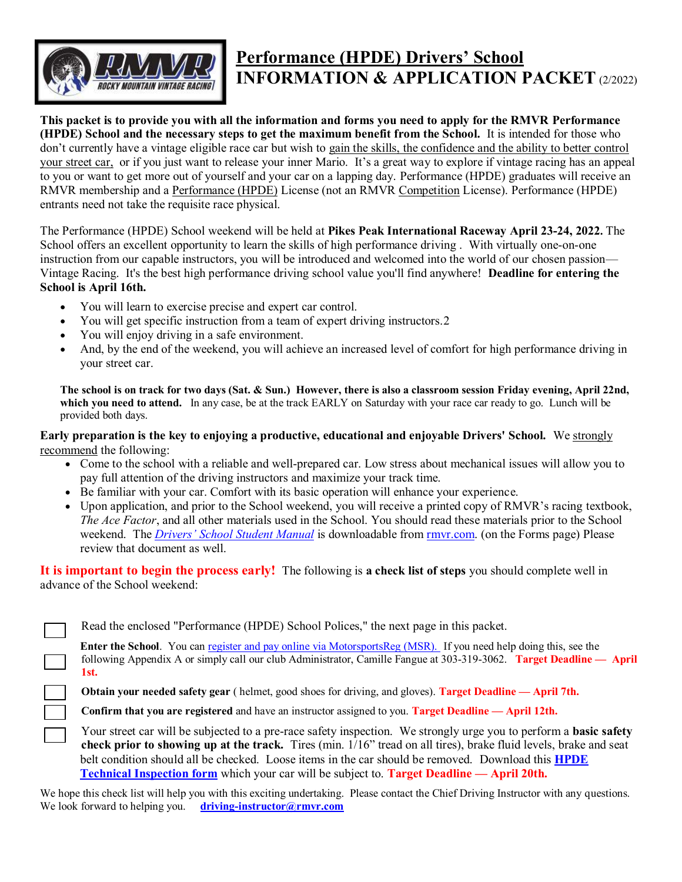

# **Performance (HPDE) Drivers' School INFORMATION & APPLICATION PACKET** (2/2022)

**This packet is to provide you with all the information and forms you need to apply for the RMVR Performance (HPDE) School and the necessary steps to get the maximum benefit from the School.** It is intended for those who don't currently have a vintage eligible race car but wish to gain the skills, the confidence and the ability to better control your street car, or if you just want to release your inner Mario. It's a great way to explore if vintage racing has an appeal to you or want to get more out of yourself and your car on a lapping day. Performance (HPDE) graduates will receive an RMVR membership and a Performance (HPDE) License (not an RMVR Competition License). Performance (HPDE) entrants need not take the requisite race physical.

The Performance (HPDE) School weekend will be held at **Pikes Peak International Raceway April 23-24, 2022.** The School offers an excellent opportunity to learn the skills of high performance driving . With virtually one-on-one instruction from our capable instructors, you will be introduced and welcomed into the world of our chosen passion— Vintage Racing. It's the best high performance driving school value you'll find anywhere! **Deadline for entering the School is April 16th.**

- You will learn to exercise precise and expert car control.
- You will get specific instruction from a team of expert driving instructors.2
- You will enjoy driving in a safe environment.
- And, by the end of the weekend, you will achieve an increased level of comfort for high performance driving in your street car.

**The school is on track for two days (Sat. & Sun.) However, there is also a classroom session Friday evening, April 22nd, which you need to attend.** In any case, be at the track EARLY on Saturday with your race car ready to go. Lunch will be provided both days.

**Early preparation is the key to enjoying a productive, educational and enjoyable Drivers' School.** We strongly recommend the following:

- Come to the school with a reliable and well-prepared car. Low stress about mechanical issues will allow you to pay full attention of the driving instructors and maximize your track time.
- Be familiar with your car. Comfort with its basic operation will enhance your experience.
- Upon application, and prior to the School weekend, you will receive a printed copy of RMVR's racing textbook, *The Ace Factor*, and all other materials used in the School. You should read these materials prior to the School weekend. The *Drivers' School [Student Manual](http://rmvr.com/forms/student_manual.pdf)* is downloadable from [rmvr.com.](http://rmvr.com/forms/student_manual.pdf) (on the Forms page) Please review that document as well.

**It is important to begin the process early!** The following is **a check list of steps** you should complete well in advance of the School weekend:

| Read the enclosed "Performance (HPDE) School Polices," the next page in this packet.                                                            |
|-------------------------------------------------------------------------------------------------------------------------------------------------|
| <b>Enter the School.</b> You can register and pay online via MotorsportsReg (MSR). If you need help doing this, see the                         |
| following Appendix A or simply call our club Administrator, Camille Fangue at 303-319-3062. Target Deadline — April                             |
| 1st.                                                                                                                                            |
| $\overline{O}(1)$ . If $P$ , $(1 \ 1)$ . If $P$ if $(1 \ 1)$ . If $\overline{O}(1)$ , $\overline{O}(1)$ , $\overline{O}(1)$ , $\overline{O}(1)$ |

**Obtain your needed safety gear** ( helmet, good shoes for driving, and gloves). **Target Deadline — April 7th.**

**Confirm that you are registered** and have an instructor assigned to you. **Target Deadline — April 12th.** 

Your street car will be subjected to a pre-race safety inspection. We strongly urge you to perform a **basic safety check prior to showing up at the track.** Tires (min. 1/16" tread on all tires), brake fluid levels, brake and seat belt condition should all be checked. Loose items in the car should be removed. Download this **[HPDE](https://rmvr.com/assets/alder_documents/Original-SourceFileDocs/DS/HPDE_Tech_Form.pdf)  [Technical Inspection](https://rmvr.com/assets/alder_documents/Original-SourceFileDocs/DS/HPDE_Tech_Form.pdf) form** which your car will be subject to. **Target Deadline — April 20th.**

We hope this check list will help you with this exciting undertaking. Please contact the Chief Driving Instructor with any questions. We look forward to helping you. **[driving-instructor@rmvr.com](mailto:driving-instructor@rmvr.com)**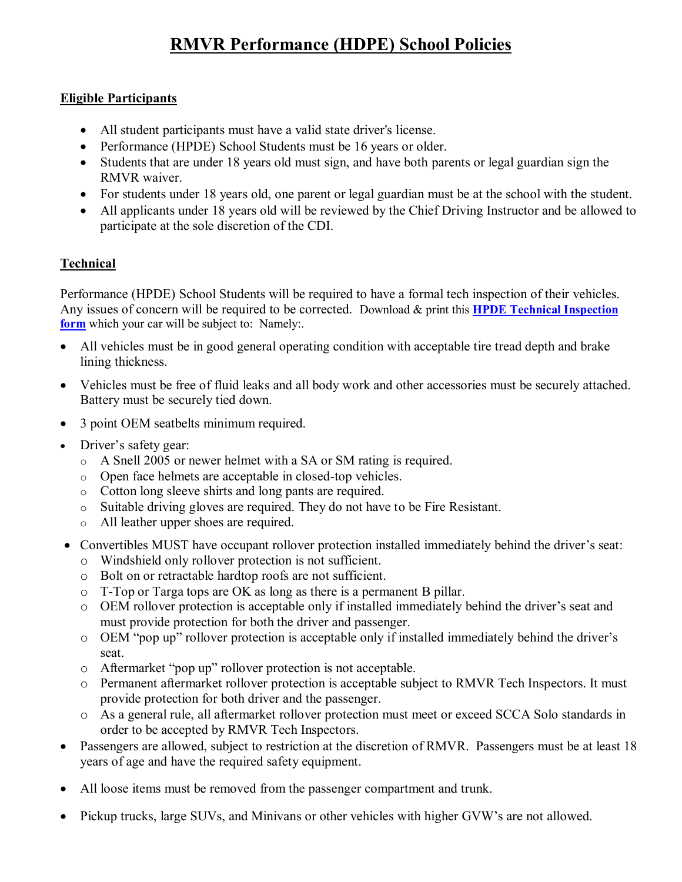# **RMVR Performance (HDPE) School Policies**

#### **Eligible Participants**

- All student participants must have a valid state driver's license.
- Performance (HPDE) School Students must be 16 years or older.
- Students that are under 18 years old must sign, and have both parents or legal guardian sign the RMVR waiver.
- For students under 18 years old, one parent or legal guardian must be at the school with the student.
- All applicants under 18 years old will be reviewed by the Chief Driving Instructor and be allowed to participate at the sole discretion of the CDI.

### **Technical**

Performance (HPDE) School Students will be required to have a formal tech inspection of their vehicles. Any issues of concern will be required to be corrected. Download & print this **[HPDE Technical Inspection](https://rmvr.com/assets/alder_documents/Original-SourceFileDocs/DS/HPDE_Tech_Form.pdf)** [form](https://rmvr.com/assets/alder_documents/Original-SourceFileDocs/DS/HPDE_Tech_Form.pdf) which your car will be subject to: Namely:.

- All vehicles must be in good general operating condition with acceptable tire tread depth and brake lining thickness.
- Vehicles must be free of fluid leaks and all body work and other accessories must be securely attached. Battery must be securely tied down.
- 3 point OEM seatbelts minimum required.
- Driver's safety gear:
	- o A Snell 2005 or newer helmet with a SA or SM rating is required.
	- o Open face helmets are acceptable in closed-top vehicles.
	- o Cotton long sleeve shirts and long pants are required.
	- o Suitable driving gloves are required. They do not have to be Fire Resistant.
	- o All leather upper shoes are required.
- Convertibles MUST have occupant rollover protection installed immediately behind the driver's seat:
	- o Windshield only rollover protection is not sufficient.
	- o Bolt on or retractable hardtop roofs are not sufficient.
	- o T-Top or Targa tops are OK as long as there is a permanent B pillar.
	- o OEM rollover protection is acceptable only if installed immediately behind the driver's seat and must provide protection for both the driver and passenger.
	- o OEM "pop up" rollover protection is acceptable only if installed immediately behind the driver's seat.
	- o Aftermarket "pop up" rollover protection is not acceptable.
	- o Permanent aftermarket rollover protection is acceptable subject to RMVR Tech Inspectors. It must provide protection for both driver and the passenger.
	- o As a general rule, all aftermarket rollover protection must meet or exceed SCCA Solo standards in order to be accepted by RMVR Tech Inspectors.
- Passengers are allowed, subject to restriction at the discretion of RMVR. Passengers must be at least 18 years of age and have the required safety equipment.
- All loose items must be removed from the passenger compartment and trunk.
- Pickup trucks, large SUVs, and Minivans or other vehicles with higher GVW's are not allowed.